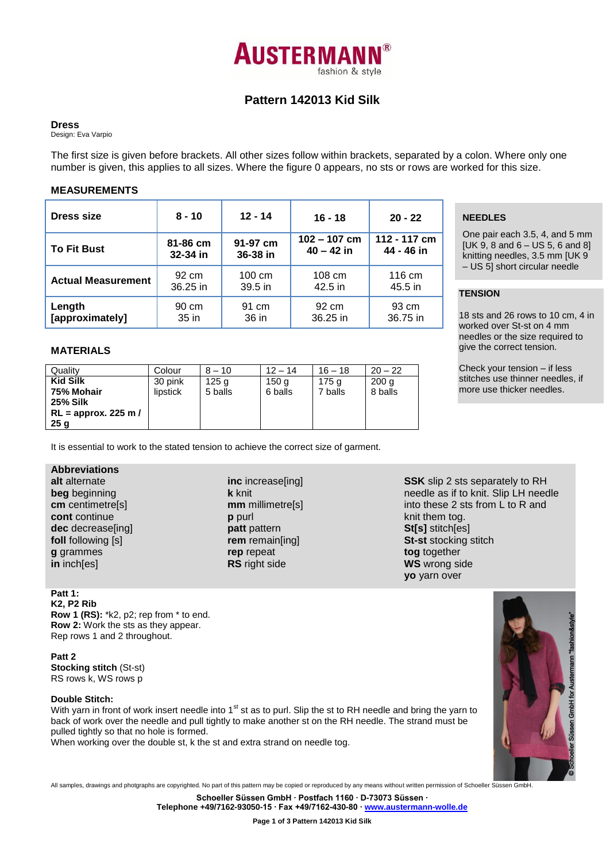

# **Pattern 142013 Kid Silk**

#### **Dress**

Design: Eva Varpio

The first size is given before brackets. All other sizes follow within brackets, separated by a colon. Where only one number is given, this applies to all sizes. Where the figure 0 appears, no sts or rows are worked for this size.

### **MEASUREMENTS**

| Dress size                | $8 - 10$   | $12 - 14$        | $16 - 18$      | $20 - 22$    |  |
|---------------------------|------------|------------------|----------------|--------------|--|
| <b>To Fit Bust</b>        | 81-86 cm   | 91-97 cm         | $102 - 107$ cm | 112 - 117 cm |  |
|                           | 32-34 in   | 36-38 in         | $40 - 42$ in   | 44 - 46 in   |  |
| <b>Actual Measurement</b> | 92 cm      | $100 \text{ cm}$ | 108 cm         | 116 cm       |  |
|                           | $36.25$ in | $39.5$ in        | 42.5 in        | 45.5 in      |  |
| Length                    | 90 cm      | 91 cm            | 92 cm          | 93 cm        |  |
| [approximately]           | $35$ in    | 36 in            | 36.25 in       | 36.75 in     |  |

### **MATERIALS**

| Quality               | Colour   | $8 - 10$         | $12 - 14$ | $16 - 18$ | $20 - 22$        |
|-----------------------|----------|------------------|-----------|-----------|------------------|
| <b>Kid Silk</b>       | 30 pink  | 125 <sub>q</sub> | 150 a     | 175 a     | 200 <sub>a</sub> |
| 75% Mohair            | lipstick | 5 balls          | 6 balls   | 7 balls   | 8 balls          |
| <b>25% Silk</b>       |          |                  |           |           |                  |
| $RL =$ approx. 225 m/ |          |                  |           |           |                  |
| 25 <sub>g</sub>       |          |                  |           |           |                  |

It is essential to work to the stated tension to achieve the correct size of garment.

# **Abbreviations**

**alt** alternate **beg** beginning **cm** centimetre[s] **cont** continue **dec** decrease[ing] **foll** following [s] **g** grammes **in** inch[es]

**inc** increase[ing] **k** knit **mm** millimetre[s] **p** purl **patt** pattern **rem** remain[ing] **rep** repeat **RS** right side

## **SSK** slip 2 sts separately to RH needle as if to knit. Slip LH needle into these 2 sts from L to R and knit them tog. **St[s]** stitch[es] **St-st** stocking stitch **tog** together **WS** wrong side **yo** yarn over

# **Patt 1:**

**K2, P2 Rib Row 1 (RS):** \*k2, p2; rep from \* to end. **Row 2:** Work the sts as they appear. Rep rows 1 and 2 throughout.

**Patt 2 Stocking stitch** (St-st) RS rows k, WS rows p

# **Double Stitch:**

With yarn in front of work insert needle into 1<sup>st</sup> st as to purl. Slip the st to RH needle and bring the yarn to back of work over the needle and pull tightly to make another st on the RH needle. The strand must be pulled tightly so that no hole is formed.

When working over the double st, k the st and extra strand on needle tog.



All samples, drawings and photgraphs are copyrighted. No part of this pattern may be copied or reproduced by any means without written permission of Schoeller Süssen GmbH.

**Schoeller Süssen GmbH ∙ Postfach 1160 ∙ D-73073 Süssen ∙**

**Telephone +49/7162-93050-15 ∙ Fax +49/7162-430-80 ∙ [www.austermann-wolle.de](http://www.austermann-wolle.de/)**

# **NEEDLES**

One pair each 3.5, 4, and 5 mm [UK 9, 8 and  $6 - US 5$ , 6 and 8] knitting needles, 3.5 mm [UK 9 – US 5] short circular needle

# **TENSION**

18 sts and 26 rows to 10 cm, 4 in worked over St-st on 4 mm needles or the size required to give the correct tension.

Check your tension – if less stitches use thinner needles, if more use thicker needles.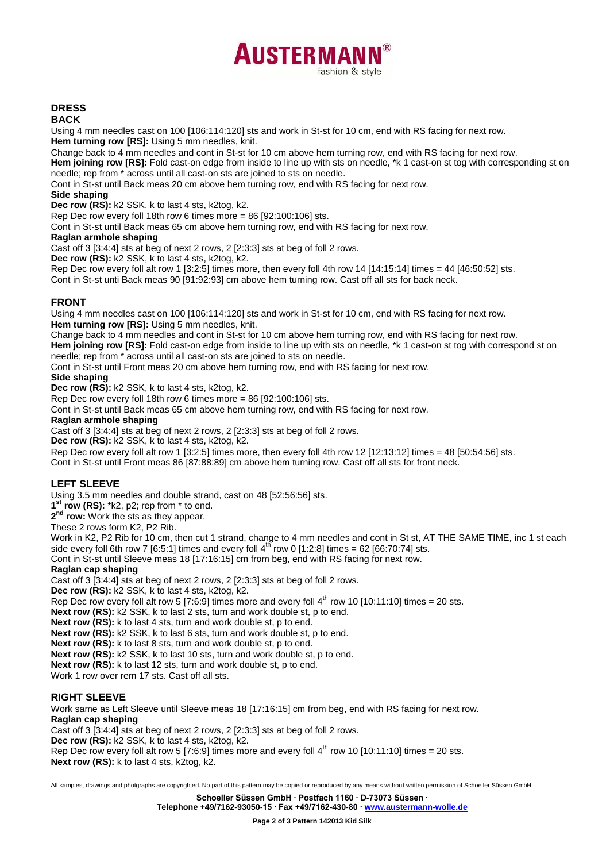

# **DRESS**

#### **BACK**

Using 4 mm needles cast on 100 [106:114:120] sts and work in St-st for 10 cm, end with RS facing for next row. **Hem turning row [RS]:** Using 5 mm needles, knit.

Change back to 4 mm needles and cont in St-st for 10 cm above hem turning row, end with RS facing for next row.

**Hem joining row [RS]:** Fold cast-on edge from inside to line up with sts on needle, \*k 1 cast-on st tog with corresponding st on needle; rep from \* across until all cast-on sts are joined to sts on needle.

Cont in St-st until Back meas 20 cm above hem turning row, end with RS facing for next row.

#### **Side shaping**

**Dec row (RS):** k2 SSK, k to last 4 sts, k2tog, k2.

Rep Dec row every foll 18th row 6 times more =  $86$  [92:100:106] sts.

Cont in St-st until Back meas 65 cm above hem turning row, end with RS facing for next row.

#### **Raglan armhole shaping**

Cast off 3 [3:4:4] sts at beg of next 2 rows, 2 [2:3:3] sts at beg of foll 2 rows.

**Dec row (RS):** k2 SSK, k to last 4 sts, k2tog, k2.

Rep Dec row every foll alt row 1 [3:2:5] times more, then every foll 4th row 14 [14:15:14] times = 44 [46:50:52] sts. Cont in St-st unti Back meas 90 [91:92:93] cm above hem turning row. Cast off all sts for back neck.

#### **FRONT**

Using 4 mm needles cast on 100 [106:114:120] sts and work in St-st for 10 cm, end with RS facing for next row. **Hem turning row [RS]:** Using 5 mm needles, knit.

Change back to 4 mm needles and cont in St-st for 10 cm above hem turning row, end with RS facing for next row.

**Hem joining row [RS]:** Fold cast-on edge from inside to line up with sts on needle, \*k 1 cast-on st tog with correspond st on needle; rep from \* across until all cast-on sts are joined to sts on needle.

Cont in St-st until Front meas 20 cm above hem turning row, end with RS facing for next row.

## **Side shaping**

**Dec row (RS):** k2 SSK, k to last 4 sts, k2tog, k2.

Rep Dec row every foll 18th row 6 times more = 86 [92:100:106] sts.

Cont in St-st until Back meas 65 cm above hem turning row, end with RS facing for next row.

#### **Raglan armhole shaping**

Cast off 3 [3:4:4] sts at beg of next 2 rows, 2 [2:3:3] sts at beg of foll 2 rows.

**Dec row (RS):** k2 SSK, k to last 4 sts, k2tog, k2.

Rep Dec row every foll alt row 1 [3:2:5] times more, then every foll 4th row 12 [12:13:12] times = 48 [50:54:56] sts.

Cont in St-st until Front meas 86 [87:88:89] cm above hem turning row. Cast off all sts for front neck.

## **LEFT SLEEVE**

Using 3.5 mm needles and double strand, cast on 48 [52:56:56] sts.

**1 st row (RS):** \*k2, p2; rep from \* to end.

**2** <sup>1</sup> row: Work the sts as they appear.

These 2 rows form K2, P2 Rib.

Work in K2, P2 Rib for 10 cm, then cut 1 strand, change to 4 mm needles and cont in St st, AT THE SAME TIME, inc 1 st each side every foll 6th row 7 [6:5:1] times and every foll  $4^{th}$  row 0 [1:2:8] times = 62 [66:70:74] sts.

Cont in St-st until Sleeve meas 18 [17:16:15] cm from beg, end with RS facing for next row.

### **Raglan cap shaping**

Cast off 3 [3:4:4] sts at beg of next 2 rows, 2 [2:3:3] sts at beg of foll 2 rows.

**Dec row (RS):** k2 SSK, k to last 4 sts, k2tog, k2.

Rep Dec row every foll alt row 5 [7:6:9] times more and every foll  $4<sup>th</sup>$  row 10 [10:11:10] times = 20 sts.

**Next row (RS):** k2 SSK, k to last 2 sts, turn and work double st, p to end.

**Next row (RS):** k to last 4 sts, turn and work double st, p to end.

**Next row (RS):** k2 SSK, k to last 6 sts, turn and work double st, p to end.

**Next row (RS):** k to last 8 sts, turn and work double st, p to end.

**Next row (RS):** k2 SSK, k to last 10 sts, turn and work double st, p to end.

**Next row (RS):** k to last 12 sts, turn and work double st, p to end.

Work 1 row over rem 17 sts. Cast off all sts.

## **RIGHT SLEEVE**

Work same as Left Sleeve until Sleeve meas 18 [17:16:15] cm from beg, end with RS facing for next row. **Raglan cap shaping**

Cast off 3 [3:4:4] sts at beg of next 2 rows, 2 [2:3:3] sts at beg of foll 2 rows.

**Dec row (RS):** k2 SSK, k to last 4 sts, k2tog, k2.

Rep Dec row every foll alt row 5 [7:6:9] times more and every foll  $4<sup>th</sup>$  row 10 [10:11:10] times = 20 sts.

**Next row (RS):** k to last 4 sts, k2tog, k2.

All samples, drawings and photgraphs are copyrighted. No part of this pattern may be copied or reproduced by any means without written permission of Schoeller Süssen GmbH. **Schoeller Süssen GmbH ∙ Postfach 1160 ∙ D-73073 Süssen ∙**

**Telephone +49/7162-93050-15 ∙ Fax +49/7162-430-80 ∙ [www.austermann-wolle.de](http://www.austermann-wolle.de/)**